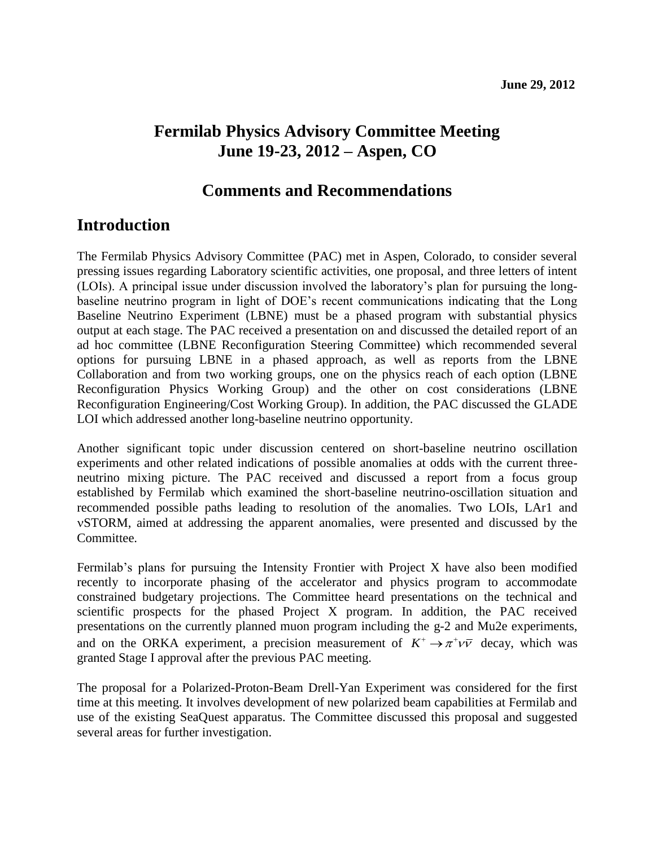## **Fermilab Physics Advisory Committee Meeting June 19-23, 2012 – Aspen, CO**

### **Comments and Recommendations**

### **Introduction**

The Fermilab Physics Advisory Committee (PAC) met in Aspen, Colorado, to consider several pressing issues regarding Laboratory scientific activities, one proposal, and three letters of intent (LOIs). A principal issue under discussion involved the laboratory's plan for pursuing the longbaseline neutrino program in light of DOE's recent communications indicating that the Long Baseline Neutrino Experiment (LBNE) must be a phased program with substantial physics output at each stage. The PAC received a presentation on and discussed the detailed report of an ad hoc committee (LBNE Reconfiguration Steering Committee) which recommended several options for pursuing LBNE in a phased approach, as well as reports from the LBNE Collaboration and from two working groups, one on the physics reach of each option (LBNE Reconfiguration Physics Working Group) and the other on cost considerations (LBNE Reconfiguration Engineering/Cost Working Group). In addition, the PAC discussed the GLADE LOI which addressed another long-baseline neutrino opportunity.

Another significant topic under discussion centered on short-baseline neutrino oscillation experiments and other related indications of possible anomalies at odds with the current threeneutrino mixing picture. The PAC received and discussed a report from a focus group established by Fermilab which examined the short-baseline neutrino-oscillation situation and recommended possible paths leading to resolution of the anomalies. Two LOIs, LAr1 and STORM, aimed at addressing the apparent anomalies, were presented and discussed by the Committee.

Fermilab's plans for pursuing the Intensity Frontier with Project X have also been modified recently to incorporate phasing of the accelerator and physics program to accommodate constrained budgetary projections. The Committee heard presentations on the technical and scientific prospects for the phased Project X program. In addition, the PAC received presentations on the currently planned muon program including the g-2 and Mu2e experiments, and on the ORKA experiment, a precision measurement of  $K^+ \rightarrow \pi^+ \nu \bar{\nu}$  decay, which was granted Stage I approval after the previous PAC meeting.

The proposal for a [Polarized-Proton-Beam Drell-Yan Experiment](http://www.fnal.gov/directorate/program_planning/pac/June2012PAC/P-1027_Pol-Drell-Yan-proposal.pdf) was considered for the first time at this meeting. It involves development of new polarized beam capabilities at Fermilab and use of the existing SeaQuest apparatus. The Committee discussed this proposal and suggested several areas for further investigation.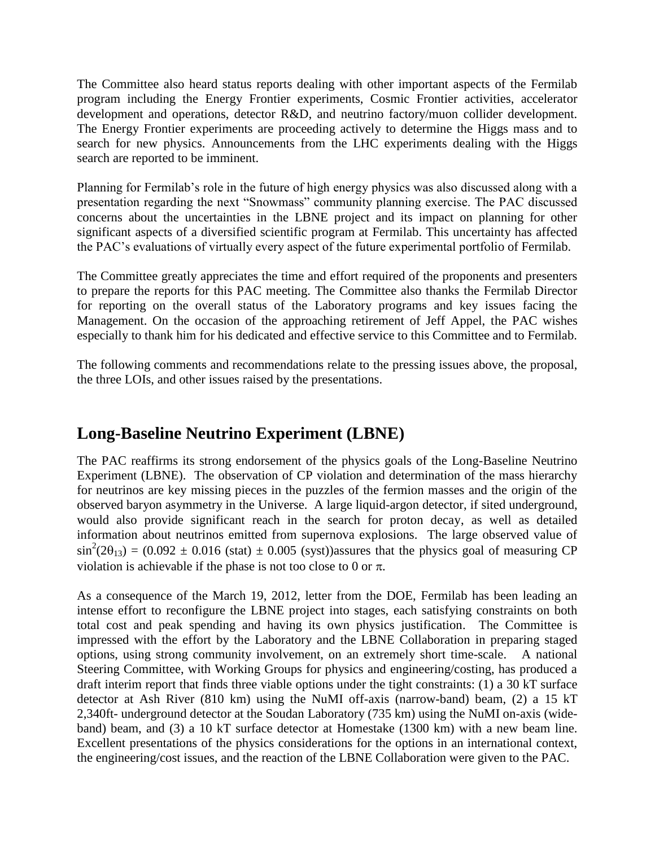The Committee also heard status reports dealing with other important aspects of the Fermilab program including the Energy Frontier experiments, Cosmic Frontier activities, accelerator development and operations, detector R&D, and neutrino factory/muon collider development. The Energy Frontier experiments are proceeding actively to determine the Higgs mass and to search for new physics. Announcements from the LHC experiments dealing with the Higgs search are reported to be imminent.

Planning for Fermilab's role in the future of high energy physics was also discussed along with a presentation regarding the next "Snowmass" community planning exercise. The PAC discussed concerns about the uncertainties in the LBNE project and its impact on planning for other significant aspects of a diversified scientific program at Fermilab. This uncertainty has affected the PAC's evaluations of virtually every aspect of the future experimental portfolio of Fermilab.

The Committee greatly appreciates the time and effort required of the proponents and presenters to prepare the reports for this PAC meeting. The Committee also thanks the Fermilab Director for reporting on the overall status of the Laboratory programs and key issues facing the Management. On the occasion of the approaching retirement of Jeff Appel, the PAC wishes especially to thank him for his dedicated and effective service to this Committee and to Fermilab.

The following comments and recommendations relate to the pressing issues above, the proposal, the three LOIs, and other issues raised by the presentations.

## **Long-Baseline Neutrino Experiment (LBNE)**

The PAC reaffirms its strong endorsement of the physics goals of the Long-Baseline Neutrino Experiment (LBNE). The observation of CP violation and determination of the mass hierarchy for neutrinos are key missing pieces in the puzzles of the fermion masses and the origin of the observed baryon asymmetry in the Universe. A large liquid-argon detector, if sited underground, would also provide significant reach in the search for proton decay, as well as detailed information about neutrinos emitted from supernova explosions. The large observed value of  $\sin^2(2\theta_{13}) = (0.092 \pm 0.016$  (stat)  $\pm 0.005$  (syst))assures that the physics goal of measuring CP violation is achievable if the phase is not too close to 0 or  $\pi$ .

As a consequence of the March 19, 2012, letter from the DOE, Fermilab has been leading an intense effort to reconfigure the LBNE project into stages, each satisfying constraints on both total cost and peak spending and having its own physics justification. The Committee is impressed with the effort by the Laboratory and the LBNE Collaboration in preparing staged options, using strong community involvement, on an extremely short time-scale. A national Steering Committee, with Working Groups for physics and engineering/costing, has produced a draft interim report that finds three viable options under the tight constraints: (1) a 30 kT surface detector at Ash River (810 km) using the NuMI off-axis (narrow-band) beam, (2) a 15 kT 2,340ft- underground detector at the Soudan Laboratory (735 km) using the NuMI on-axis (wideband) beam, and (3) a 10 kT surface detector at Homestake (1300 km) with a new beam line. Excellent presentations of the physics considerations for the options in an international context, the engineering/cost issues, and the reaction of the LBNE Collaboration were given to the PAC.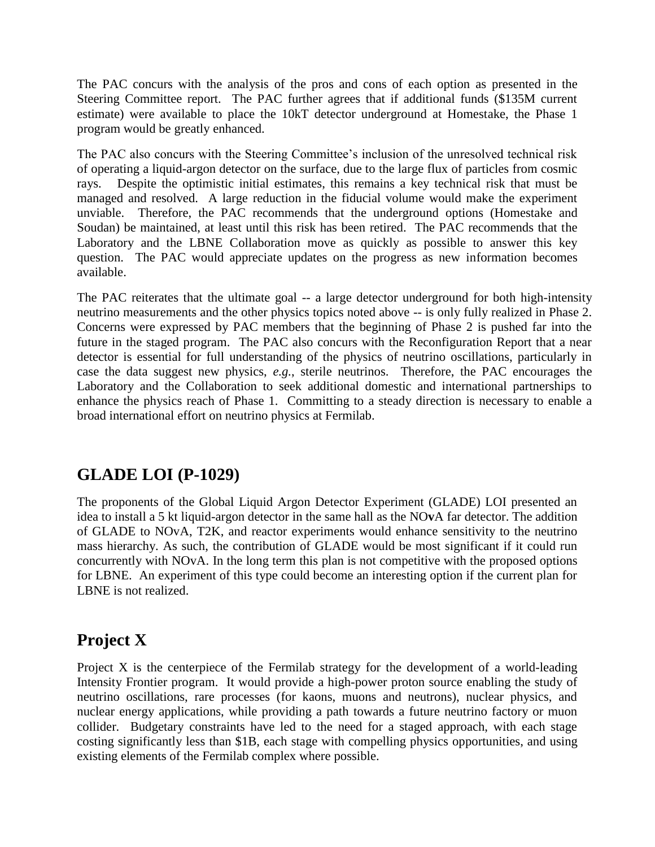The PAC concurs with the analysis of the pros and cons of each option as presented in the Steering Committee report. The PAC further agrees that if additional funds (\$135M current estimate) were available to place the 10kT detector underground at Homestake, the Phase 1 program would be greatly enhanced.

The PAC also concurs with the Steering Committee's inclusion of the unresolved technical risk of operating a liquid-argon detector on the surface, due to the large flux of particles from cosmic rays. Despite the optimistic initial estimates, this remains a key technical risk that must be managed and resolved. A large reduction in the fiducial volume would make the experiment unviable. Therefore, the PAC recommends that the underground options (Homestake and Soudan) be maintained, at least until this risk has been retired. The PAC recommends that the Laboratory and the LBNE Collaboration move as quickly as possible to answer this key question. The PAC would appreciate updates on the progress as new information becomes available.

The PAC reiterates that the ultimate goal -- a large detector underground for both high-intensity neutrino measurements and the other physics topics noted above -- is only fully realized in Phase 2. Concerns were expressed by PAC members that the beginning of Phase 2 is pushed far into the future in the staged program. The PAC also concurs with the Reconfiguration Report that a near detector is essential for full understanding of the physics of neutrino oscillations, particularly in case the data suggest new physics, *e.g.*, sterile neutrinos. Therefore, the PAC encourages the Laboratory and the Collaboration to seek additional domestic and international partnerships to enhance the physics reach of Phase 1. Committing to a steady direction is necessary to enable a broad international effort on neutrino physics at Fermilab.

# **GLADE LOI (P-1029)**

The proponents of the Global Liquid Argon Detector Experiment (GLADE) LOI presented an idea to install a 5 kt liquid-argon detector in the same hall as the NO**v**A far detector. The addition of GLADE to NOvA, T2K, and reactor experiments would enhance sensitivity to the neutrino mass hierarchy. As such, the contribution of GLADE would be most significant if it could run concurrently with NOvA. In the long term this plan is not competitive with the proposed options for LBNE. An experiment of this type could become an interesting option if the current plan for LBNE is not realized.

# **Project X**

Project X is the centerpiece of the Fermilab strategy for the development of a world-leading Intensity Frontier program. It would provide a high-power proton source enabling the study of neutrino oscillations, rare processes (for kaons, muons and neutrons), nuclear physics, and nuclear energy applications, while providing a path towards a future neutrino factory or muon collider. Budgetary constraints have led to the need for a staged approach, with each stage costing significantly less than \$1B, each stage with compelling physics opportunities, and using existing elements of the Fermilab complex where possible.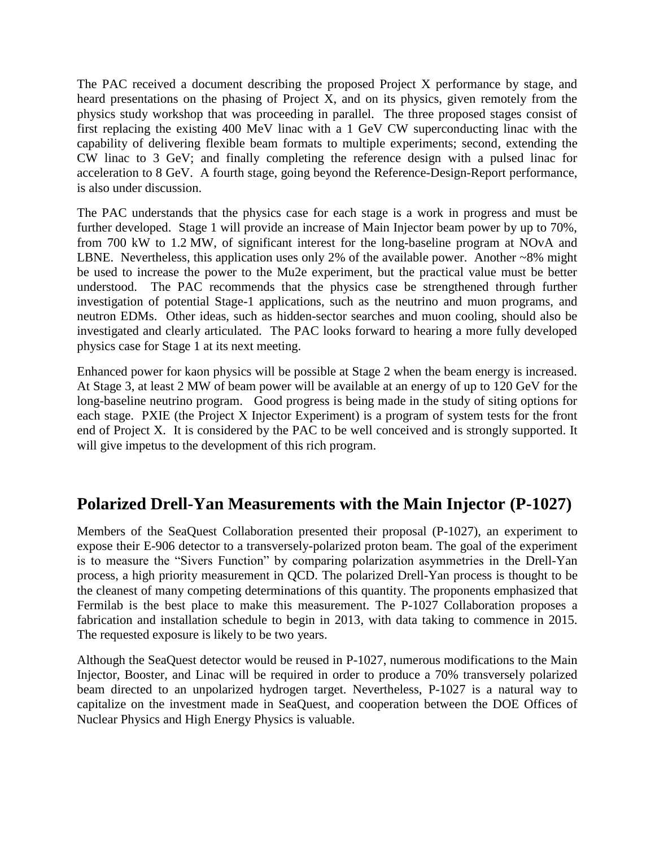The PAC received a document describing the proposed Project X performance by stage, and heard presentations on the phasing of Project X, and on its physics, given remotely from the physics study workshop that was proceeding in parallel. The three proposed stages consist of first replacing the existing 400 MeV linac with a 1 GeV CW superconducting linac with the capability of delivering flexible beam formats to multiple experiments; second, extending the CW linac to 3 GeV; and finally completing the reference design with a pulsed linac for acceleration to 8 GeV. A fourth stage, going beyond the Reference-Design-Report performance, is also under discussion.

The PAC understands that the physics case for each stage is a work in progress and must be further developed. Stage 1 will provide an increase of Main Injector beam power by up to 70%, from 700 kW to 1.2 MW, of significant interest for the long-baseline program at NOvA and LBNE. Nevertheless, this application uses only 2% of the available power. Another ~8% might be used to increase the power to the Mu2e experiment, but the practical value must be better understood. The PAC recommends that the physics case be strengthened through further investigation of potential Stage-1 applications, such as the neutrino and muon programs, and neutron EDMs. Other ideas, such as hidden-sector searches and muon cooling, should also be investigated and clearly articulated. The PAC looks forward to hearing a more fully developed physics case for Stage 1 at its next meeting.

Enhanced power for kaon physics will be possible at Stage 2 when the beam energy is increased. At Stage 3, at least 2 MW of beam power will be available at an energy of up to 120 GeV for the long-baseline neutrino program. Good progress is being made in the study of siting options for each stage. PXIE (the Project X Injector Experiment) is a program of system tests for the front end of Project X. It is considered by the PAC to be well conceived and is strongly supported. It will give impetus to the development of this rich program.

# **Polarized Drell-Yan Measurements with the Main Injector (P-1027)**

Members of the SeaQuest Collaboration presented their proposal (P-1027), an experiment to expose their E-906 detector to a transversely-polarized proton beam. The goal of the experiment is to measure the "Sivers Function" by comparing polarization asymmetries in the Drell-Yan process, a high priority measurement in QCD. The polarized Drell-Yan process is thought to be the cleanest of many competing determinations of this quantity. The proponents emphasized that Fermilab is the best place to make this measurement. The P-1027 Collaboration proposes a fabrication and installation schedule to begin in 2013, with data taking to commence in 2015. The requested exposure is likely to be two years.

Although the SeaQuest detector would be reused in P-1027, numerous modifications to the Main Injector, Booster, and Linac will be required in order to produce a 70% transversely polarized beam directed to an unpolarized hydrogen target. Nevertheless, P-1027 is a natural way to capitalize on the investment made in SeaQuest, and cooperation between the DOE Offices of Nuclear Physics and High Energy Physics is valuable.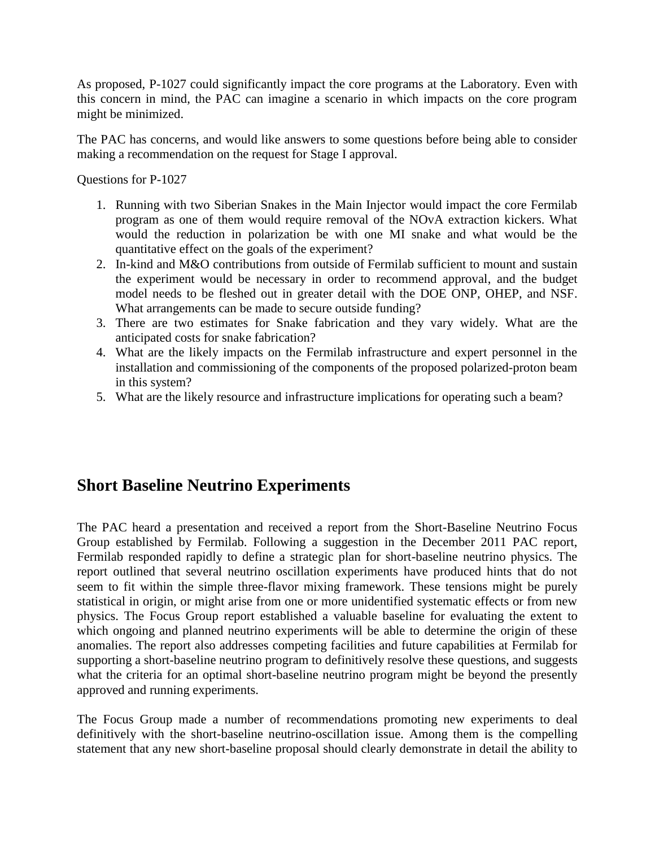As proposed, P-1027 could significantly impact the core programs at the Laboratory. Even with this concern in mind, the PAC can imagine a scenario in which impacts on the core program might be minimized.

The PAC has concerns, and would like answers to some questions before being able to consider making a recommendation on the request for Stage I approval.

Questions for P-1027

- 1. Running with two Siberian Snakes in the Main Injector would impact the core Fermilab program as one of them would require removal of the NOvA extraction kickers. What would the reduction in polarization be with one MI snake and what would be the quantitative effect on the goals of the experiment?
- 2. In-kind and M&O contributions from outside of Fermilab sufficient to mount and sustain the experiment would be necessary in order to recommend approval, and the budget model needs to be fleshed out in greater detail with the DOE ONP, OHEP, and NSF. What arrangements can be made to secure outside funding?
- 3. There are two estimates for Snake fabrication and they vary widely. What are the anticipated costs for snake fabrication?
- 4. What are the likely impacts on the Fermilab infrastructure and expert personnel in the installation and commissioning of the components of the proposed polarized-proton beam in this system?
- 5. What are the likely resource and infrastructure implications for operating such a beam?

## **Short Baseline Neutrino Experiments**

The PAC heard a presentation and received a report from the Short-Baseline Neutrino Focus Group established by Fermilab. Following a suggestion in the December 2011 PAC report, Fermilab responded rapidly to define a strategic plan for short-baseline neutrino physics. The report outlined that several neutrino oscillation experiments have produced hints that do not seem to fit within the simple three-flavor mixing framework. These tensions might be purely statistical in origin, or might arise from one or more unidentified systematic effects or from new physics. The Focus Group report established a valuable baseline for evaluating the extent to which ongoing and planned neutrino experiments will be able to determine the origin of these anomalies. The report also addresses competing facilities and future capabilities at Fermilab for supporting a short-baseline neutrino program to definitively resolve these questions, and suggests what the criteria for an optimal short-baseline neutrino program might be beyond the presently approved and running experiments.

The Focus Group made a number of recommendations promoting new experiments to deal definitively with the short-baseline neutrino-oscillation issue. Among them is the compelling statement that any new short-baseline proposal should clearly demonstrate in detail the ability to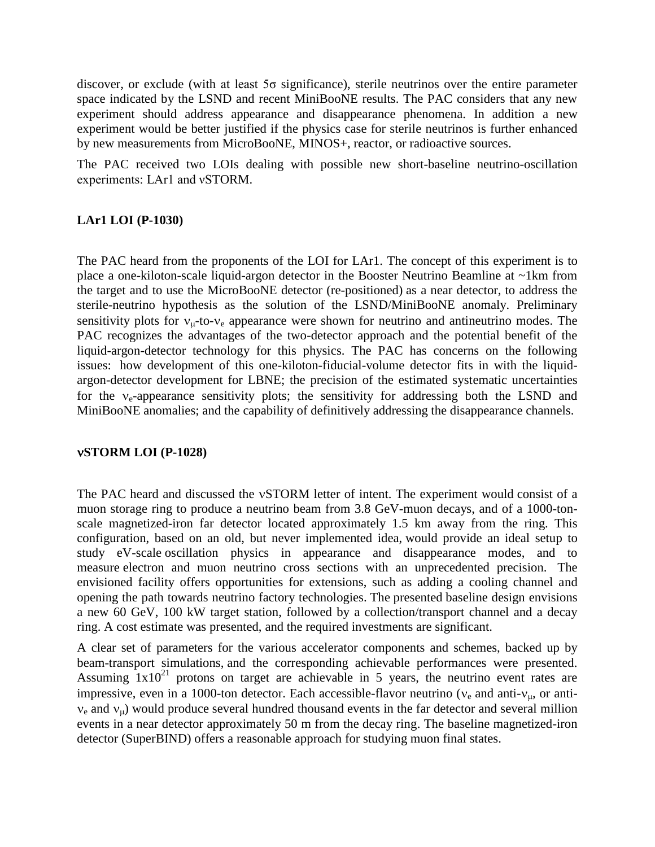discover, or exclude (with at least 5σ significance), sterile neutrinos over the entire parameter space indicated by the LSND and recent MiniBooNE results. The PAC considers that any new experiment should address appearance and disappearance phenomena. In addition a new experiment would be better justified if the physics case for sterile neutrinos is further enhanced by new measurements from MicroBooNE, MINOS+, reactor, or radioactive sources.

The PAC received two LOIs dealing with possible new short-baseline neutrino-oscillation experiments: LAr1 and νSTORM.

### **LAr1 LOI (P-1030)**

The PAC heard from the proponents of the LOI for LAr1. The concept of this experiment is to place a one-kiloton-scale liquid-argon detector in the Booster Neutrino Beamline at ~1km from the target and to use the MicroBooNE detector (re-positioned) as a near detector, to address the sterile-neutrino hypothesis as the solution of the LSND/MiniBooNE anomaly. Preliminary sensitivity plots for  $v_{\mu}$ -to- $v_{e}$  appearance were shown for neutrino and antineutrino modes. The PAC recognizes the advantages of the two-detector approach and the potential benefit of the liquid-argon-detector technology for this physics. The PAC has concerns on the following issues: how development of this one-kiloton-fiducial-volume detector fits in with the liquidargon-detector development for LBNE; the precision of the estimated systematic uncertainties for the  $v_e$ -appearance sensitivity plots; the sensitivity for addressing both the LSND and MiniBooNE anomalies; and the capability of definitively addressing the disappearance channels.

#### **STORM LOI (P-1028)**

The PAC heard and discussed the vSTORM letter of intent. The experiment would consist of a muon storage ring to produce a neutrino beam from 3.8 GeV-muon decays, and of a 1000-tonscale magnetized-iron far detector located approximately 1.5 km away from the ring. This configuration, based on an old, but never implemented idea, would provide an ideal setup to study eV-scale oscillation physics in appearance and disappearance modes, and to measure electron and muon neutrino cross sections with an unprecedented precision. The envisioned facility offers opportunities for extensions, such as adding a cooling channel and opening the path towards neutrino factory technologies. The presented baseline design envisions a new 60 GeV, 100 kW target station, followed by a collection/transport channel and a decay ring. A cost estimate was presented, and the required investments are significant.

A clear set of parameters for the various accelerator components and schemes, backed up by beam-transport simulations, and the corresponding achievable performances were presented. Assuming  $1x10^{21}$  protons on target are achievable in 5 years, the neutrino event rates are impressive, even in a 1000-ton detector. Each accessible-flavor neutrino ( $v_e$  and anti- $v_{\mu}$ , or anti $v_e$  and  $v_u$ ) would produce several hundred thousand events in the far detector and several million events in a near detector approximately 50 m from the decay ring. The baseline magnetized-iron detector (SuperBIND) offers a reasonable approach for studying muon final states.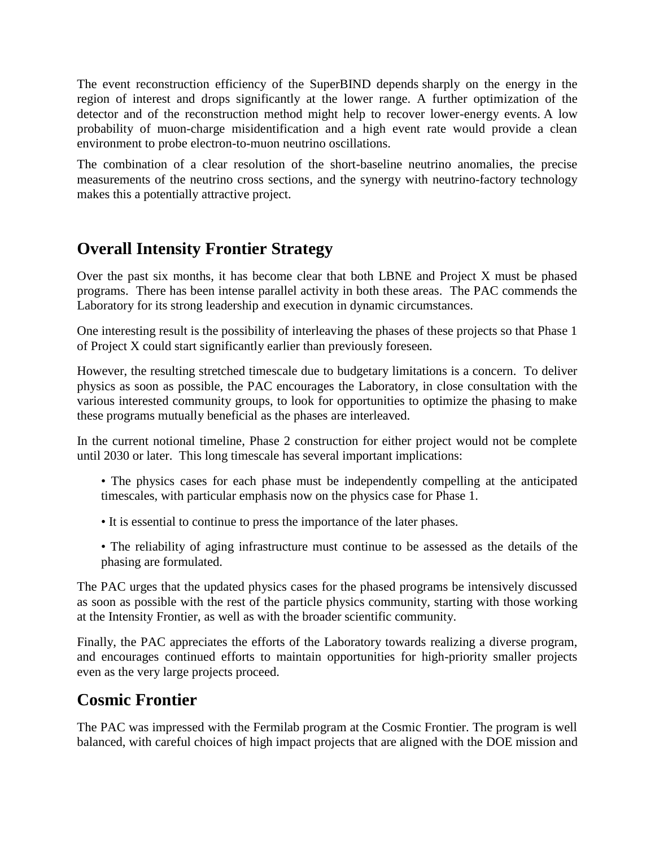The event reconstruction efficiency of the SuperBIND depends sharply on the energy in the region of interest and drops significantly at the lower range. A further optimization of the detector and of the reconstruction method might help to recover lower-energy events. A low probability of muon-charge misidentification and a high event rate would provide a clean environment to probe electron-to-muon neutrino oscillations.

The combination of a clear resolution of the short-baseline neutrino anomalies, the precise measurements of the neutrino cross sections, and the synergy with neutrino-factory technology makes this a potentially attractive project.

# **Overall Intensity Frontier Strategy**

Over the past six months, it has become clear that both LBNE and Project X must be phased programs. There has been intense parallel activity in both these areas. The PAC commends the Laboratory for its strong leadership and execution in dynamic circumstances.

One interesting result is the possibility of interleaving the phases of these projects so that Phase 1 of Project X could start significantly earlier than previously foreseen.

However, the resulting stretched timescale due to budgetary limitations is a concern. To deliver physics as soon as possible, the PAC encourages the Laboratory, in close consultation with the various interested community groups, to look for opportunities to optimize the phasing to make these programs mutually beneficial as the phases are interleaved.

In the current notional timeline, Phase 2 construction for either project would not be complete until 2030 or later. This long timescale has several important implications:

- The physics cases for each phase must be independently compelling at the anticipated timescales, with particular emphasis now on the physics case for Phase 1.
- It is essential to continue to press the importance of the later phases.
- The reliability of aging infrastructure must continue to be assessed as the details of the phasing are formulated.

The PAC urges that the updated physics cases for the phased programs be intensively discussed as soon as possible with the rest of the particle physics community, starting with those working at the Intensity Frontier, as well as with the broader scientific community.

Finally, the PAC appreciates the efforts of the Laboratory towards realizing a diverse program, and encourages continued efforts to maintain opportunities for high-priority smaller projects even as the very large projects proceed.

# **Cosmic Frontier**

The PAC was impressed with the Fermilab program at the Cosmic Frontier. The program is well balanced, with careful choices of high impact projects that are aligned with the DOE mission and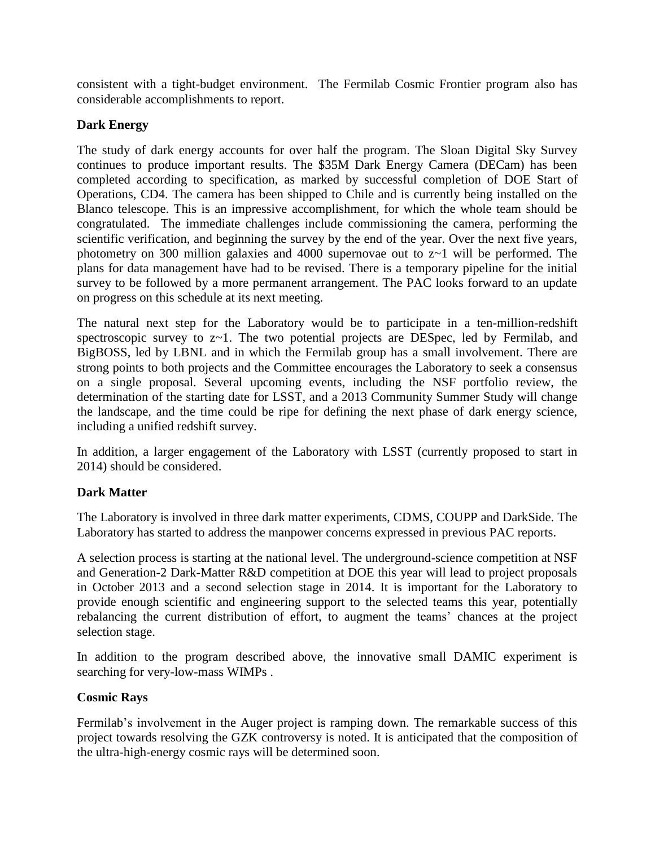consistent with a tight-budget environment. The Fermilab Cosmic Frontier program also has considerable accomplishments to report.

### **Dark Energy**

The study of dark energy accounts for over half the program. The Sloan Digital Sky Survey continues to produce important results. The \$35M Dark Energy Camera (DECam) has been completed according to specification, as marked by successful completion of DOE Start of Operations, CD4. The camera has been shipped to Chile and is currently being installed on the Blanco telescope. This is an impressive accomplishment, for which the whole team should be congratulated. The immediate challenges include commissioning the camera, performing the scientific verification, and beginning the survey by the end of the year. Over the next five years, photometry on 300 million galaxies and 4000 supernovae out to z~1 will be performed. The plans for data management have had to be revised. There is a temporary pipeline for the initial survey to be followed by a more permanent arrangement. The PAC looks forward to an update on progress on this schedule at its next meeting.

The natural next step for the Laboratory would be to participate in a ten-million-redshift spectroscopic survey to z~1. The two potential projects are DESpec, led by Fermilab, and BigBOSS, led by LBNL and in which the Fermilab group has a small involvement. There are strong points to both projects and the Committee encourages the Laboratory to seek a consensus on a single proposal. Several upcoming events, including the NSF portfolio review, the determination of the starting date for LSST, and a 2013 Community Summer Study will change the landscape, and the time could be ripe for defining the next phase of dark energy science, including a unified redshift survey.

In addition, a larger engagement of the Laboratory with LSST (currently proposed to start in 2014) should be considered.

### **Dark Matter**

The Laboratory is involved in three dark matter experiments, CDMS, COUPP and DarkSide. The Laboratory has started to address the manpower concerns expressed in previous PAC reports.

A selection process is starting at the national level. The underground-science competition at NSF and Generation-2 Dark-Matter R&D competition at DOE this year will lead to project proposals in October 2013 and a second selection stage in 2014. It is important for the Laboratory to provide enough scientific and engineering support to the selected teams this year, potentially rebalancing the current distribution of effort, to augment the teams' chances at the project selection stage.

In addition to the program described above, the innovative small DAMIC experiment is searching for very-low-mass WIMPs .

### **Cosmic Rays**

Fermilab's involvement in the Auger project is ramping down. The remarkable success of this project towards resolving the GZK controversy is noted. It is anticipated that the composition of the ultra-high-energy cosmic rays will be determined soon.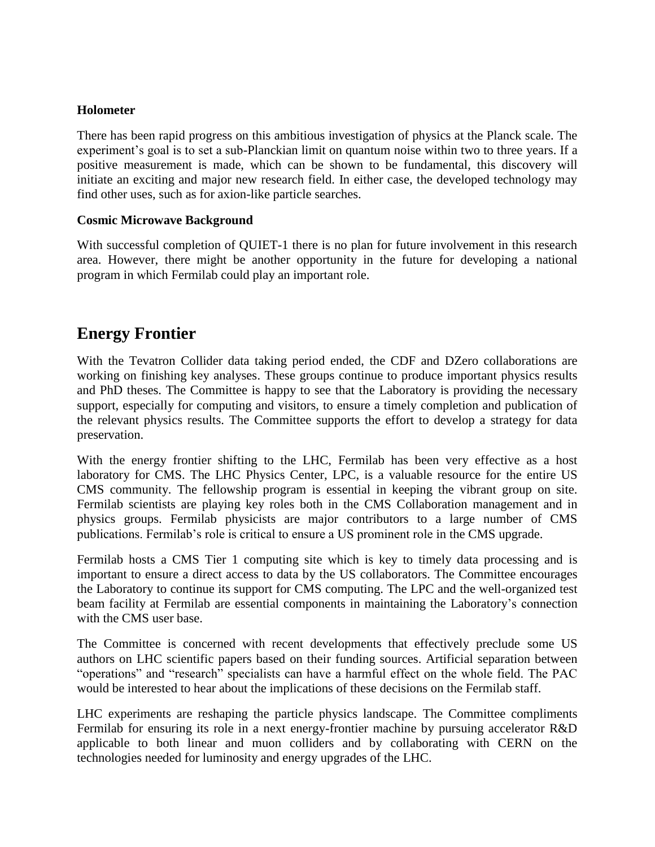#### **Holometer**

There has been rapid progress on this ambitious investigation of physics at the Planck scale. The experiment's goal is to set a sub-Planckian limit on quantum noise within two to three years. If a positive measurement is made, which can be shown to be fundamental, this discovery will initiate an exciting and major new research field. In either case, the developed technology may find other uses, such as for axion-like particle searches.

### **Cosmic Microwave Background**

With successful completion of QUIET-1 there is no plan for future involvement in this research area. However, there might be another opportunity in the future for developing a national program in which Fermilab could play an important role.

## **Energy Frontier**

With the Tevatron Collider data taking period ended, the CDF and DZero collaborations are working on finishing key analyses. These groups continue to produce important physics results and PhD theses. The Committee is happy to see that the Laboratory is providing the necessary support, especially for computing and visitors, to ensure a timely completion and publication of the relevant physics results. The Committee supports the effort to develop a strategy for data preservation.

With the energy frontier shifting to the LHC, Fermilab has been very effective as a host laboratory for CMS. The LHC Physics Center, LPC, is a valuable resource for the entire US CMS community. The fellowship program is essential in keeping the vibrant group on site. Fermilab scientists are playing key roles both in the CMS Collaboration management and in physics groups. Fermilab physicists are major contributors to a large number of CMS publications. Fermilab's role is critical to ensure a US prominent role in the CMS upgrade.

Fermilab hosts a CMS Tier 1 computing site which is key to timely data processing and is important to ensure a direct access to data by the US collaborators. The Committee encourages the Laboratory to continue its support for CMS computing. The LPC and the well-organized test beam facility at Fermilab are essential components in maintaining the Laboratory's connection with the CMS user base.

The Committee is concerned with recent developments that effectively preclude some US authors on LHC scientific papers based on their funding sources. Artificial separation between "operations" and "research" specialists can have a harmful effect on the whole field. The PAC would be interested to hear about the implications of these decisions on the Fermilab staff.

LHC experiments are reshaping the particle physics landscape. The Committee compliments Fermilab for ensuring its role in a next energy-frontier machine by pursuing accelerator R&D applicable to both linear and muon colliders and by collaborating with CERN on the technologies needed for luminosity and energy upgrades of the LHC.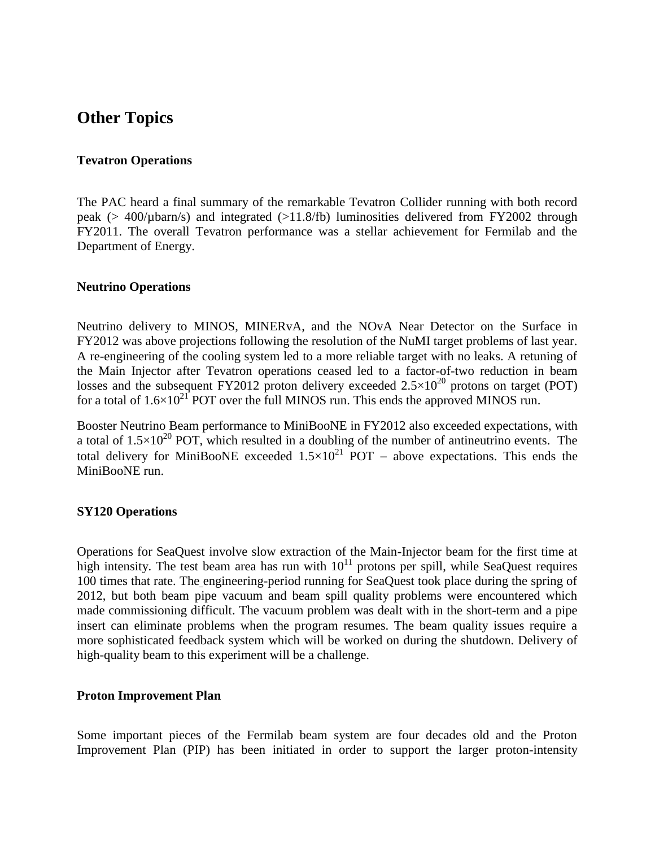### **Other Topics**

#### **Tevatron Operations**

The PAC heard a final summary of the remarkable Tevatron Collider running with both record peak (> 400/µbarn/s) and integrated (>11.8/fb) luminosities delivered from FY2002 through FY2011. The overall Tevatron performance was a stellar achievement for Fermilab and the Department of Energy.

#### **Neutrino Operations**

Neutrino delivery to MINOS, MINERvA, and the NOvA Near Detector on the Surface in FY2012 was above projections following the resolution of the NuMI target problems of last year. A re-engineering of the cooling system led to a more reliable target with no leaks. A retuning of the Main Injector after Tevatron operations ceased led to a factor-of-two reduction in beam losses and the subsequent FY2012 proton delivery exceeded  $2.5 \times 10^{20}$  protons on target (POT) for a total of  $1.6 \times 10^{21}$  POT over the full MINOS run. This ends the approved MINOS run.

Booster Neutrino Beam performance to MiniBooNE in FY2012 also exceeded expectations, with a total of  $1.5\times10^{20}$  POT, which resulted in a doubling of the number of antineutrino events. The total delivery for MiniBooNE exceeded  $1.5 \times 10^{21}$  POT – above expectations. This ends the MiniBooNE run.

#### **SY120 Operations**

Operations for SeaQuest involve slow extraction of the Main-Injector beam for the first time at high intensity. The test beam area has run with  $10^{11}$  protons per spill, while SeaQuest requires 100 times that rate. The engineering-period running for SeaQuest took place during the spring of 2012, but both beam pipe vacuum and beam spill quality problems were encountered which made commissioning difficult. The vacuum problem was dealt with in the short-term and a pipe insert can eliminate problems when the program resumes. The beam quality issues require a more sophisticated feedback system which will be worked on during the shutdown. Delivery of high-quality beam to this experiment will be a challenge.

#### **Proton Improvement Plan**

Some important pieces of the Fermilab beam system are four decades old and the Proton Improvement Plan (PIP) has been initiated in order to support the larger proton-intensity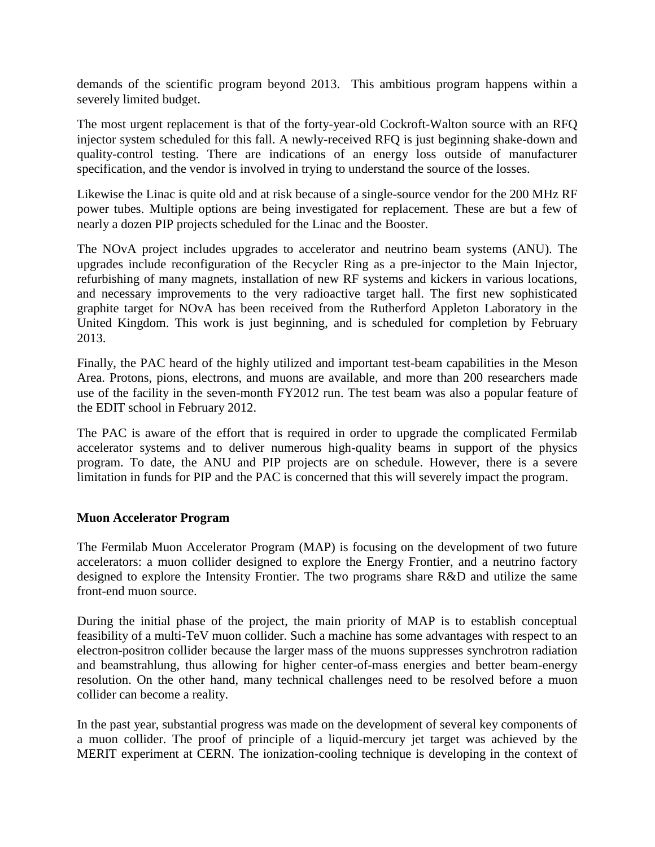demands of the scientific program beyond 2013. This ambitious program happens within a severely limited budget.

The most urgent replacement is that of the forty-year-old Cockroft-Walton source with an RFQ injector system scheduled for this fall. A newly-received RFQ is just beginning shake-down and quality-control testing. There are indications of an energy loss outside of manufacturer specification, and the vendor is involved in trying to understand the source of the losses.

Likewise the Linac is quite old and at risk because of a single-source vendor for the 200 MHz RF power tubes. Multiple options are being investigated for replacement. These are but a few of nearly a dozen PIP projects scheduled for the Linac and the Booster.

The NOvA project includes upgrades to accelerator and neutrino beam systems (ANU). The upgrades include reconfiguration of the Recycler Ring as a pre-injector to the Main Injector, refurbishing of many magnets, installation of new RF systems and kickers in various locations, and necessary improvements to the very radioactive target hall. The first new sophisticated graphite target for NOvA has been received from the Rutherford Appleton Laboratory in the United Kingdom. This work is just beginning, and is scheduled for completion by February 2013.

Finally, the PAC heard of the highly utilized and important test-beam capabilities in the Meson Area. Protons, pions, electrons, and muons are available, and more than 200 researchers made use of the facility in the seven-month FY2012 run. The test beam was also a popular feature of the EDIT school in February 2012.

The PAC is aware of the effort that is required in order to upgrade the complicated Fermilab accelerator systems and to deliver numerous high-quality beams in support of the physics program. To date, the ANU and PIP projects are on schedule. However, there is a severe limitation in funds for PIP and the PAC is concerned that this will severely impact the program.

#### **Muon Accelerator Program**

The Fermilab Muon Accelerator Program (MAP) is focusing on the development of two future accelerators: a muon collider designed to explore the Energy Frontier, and a neutrino factory designed to explore the Intensity Frontier. The two programs share R&D and utilize the same front-end muon source.

During the initial phase of the project, the main priority of MAP is to establish conceptual feasibility of a multi-TeV muon collider. Such a machine has some advantages with respect to an electron-positron collider because the larger mass of the muons suppresses synchrotron radiation and beamstrahlung, thus allowing for higher center-of-mass energies and better beam-energy resolution. On the other hand, many technical challenges need to be resolved before a muon collider can become a reality.

In the past year, substantial progress was made on the development of several key components of a muon collider. The proof of principle of a liquid-mercury jet target was achieved by the MERIT experiment at CERN. The ionization-cooling technique is developing in the context of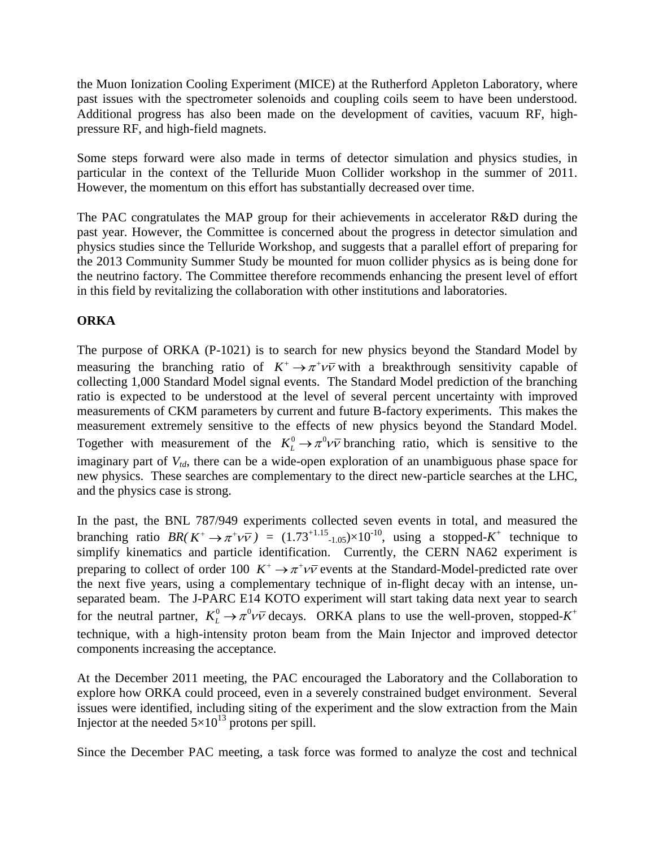the Muon Ionization Cooling Experiment (MICE) at the Rutherford Appleton Laboratory, where past issues with the spectrometer solenoids and coupling coils seem to have been understood. Additional progress has also been made on the development of cavities, vacuum RF, highpressure RF, and high-field magnets.

Some steps forward were also made in terms of detector simulation and physics studies, in particular in the context of the Telluride Muon Collider workshop in the summer of 2011. However, the momentum on this effort has substantially decreased over time.

The PAC congratulates the MAP group for their achievements in accelerator R&D during the past year. However, the Committee is concerned about the progress in detector simulation and physics studies since the Telluride Workshop, and suggests that a parallel effort of preparing for the 2013 Community Summer Study be mounted for muon collider physics as is being done for the neutrino factory. The Committee therefore recommends enhancing the present level of effort in this field by revitalizing the collaboration with other institutions and laboratories.

### **ORKA**

The purpose of ORKA (P-1021) is to search for new physics beyond the Standard Model by measuring the branching ratio of  $K^+ \to \pi^+ \nu \bar{\nu}$  with a breakthrough sensitivity capable of collecting 1,000 Standard Model signal events. The Standard Model prediction of the branching ratio is expected to be understood at the level of several percent uncertainty with improved measurements of CKM parameters by current and future B-factory experiments. This makes the measurement extremely sensitive to the effects of new physics beyond the Standard Model. Together with measurement of the  $K_L^0 \to \pi^0 \nu \bar{\nu}$  branching ratio, which is sensitive to the imaginary part of *Vtd*, there can be a wide-open exploration of an unambiguous phase space for new physics. These searches are complementary to the direct new-particle searches at the LHC, and the physics case is strong.

In the past, the BNL 787/949 experiments collected seven events in total, and measured the branching ratio  $BR(K^+ \to \pi^+ \nu \bar{\nu}) = (1.73^{+1.15} {}_{-1.05}) \times 10^{-10}$ , using a stopped-K<sup>+</sup> technique to simplify kinematics and particle identification. Currently, the CERN NA62 experiment is preparing to collect of order 100  $K^+ \to \pi^+ \nu \bar{\nu}$  events at the Standard-Model-predicted rate over the next five years, using a complementary technique of in-flight decay with an intense, unseparated beam. The J-PARC E14 KOTO experiment will start taking data next year to search for the neutral partner,  $K^0_L \rightarrow \pi^0 \nu \bar{\nu}$  decays. ORKA plans to use the well-proven, stopped- $K^+$ technique, with a high-intensity proton beam from the Main Injector and improved detector components increasing the acceptance.

At the December 2011 meeting, the PAC encouraged the Laboratory and the Collaboration to explore how ORKA could proceed, even in a severely constrained budget environment. Several issues were identified, including siting of the experiment and the slow extraction from the Main Injector at the needed  $5 \times 10^{13}$  protons per spill.

Since the December PAC meeting, a task force was formed to analyze the cost and technical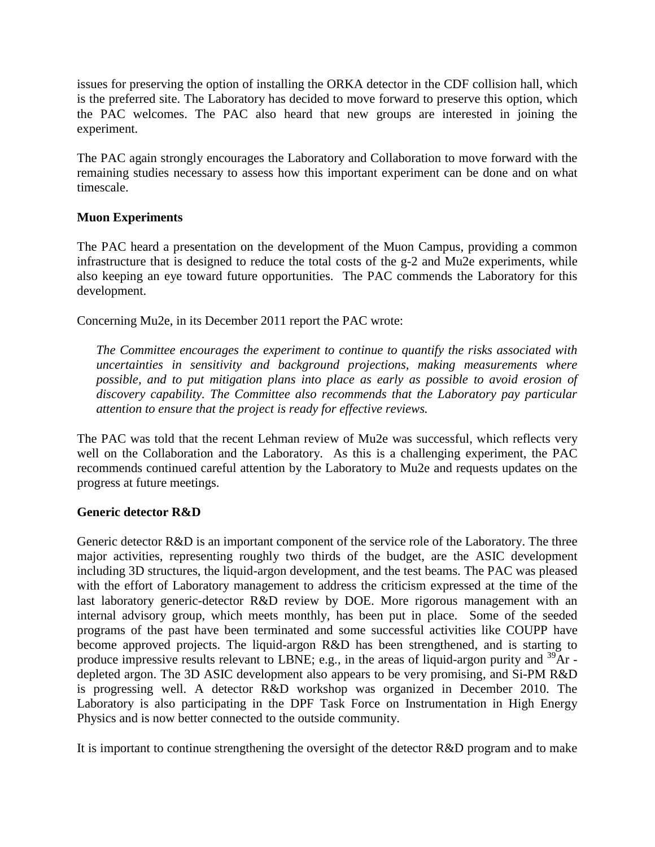issues for preserving the option of installing the ORKA detector in the CDF collision hall, which is the preferred site. The Laboratory has decided to move forward to preserve this option, which the PAC welcomes. The PAC also heard that new groups are interested in joining the experiment.

The PAC again strongly encourages the Laboratory and Collaboration to move forward with the remaining studies necessary to assess how this important experiment can be done and on what timescale.

### **Muon Experiments**

The PAC heard a presentation on the development of the Muon Campus, providing a common infrastructure that is designed to reduce the total costs of the g-2 and Mu2e experiments, while also keeping an eye toward future opportunities. The PAC commends the Laboratory for this development.

Concerning Mu2e, in its December 2011 report the PAC wrote:

*The Committee encourages the experiment to continue to quantify the risks associated with uncertainties in sensitivity and background projections, making measurements where possible, and to put mitigation plans into place as early as possible to avoid erosion of discovery capability. The Committee also recommends that the Laboratory pay particular attention to ensure that the project is ready for effective reviews.*

The PAC was told that the recent Lehman review of Mu2e was successful, which reflects very well on the Collaboration and the Laboratory. As this is a challenging experiment, the PAC recommends continued careful attention by the Laboratory to Mu2e and requests updates on the progress at future meetings.

#### **Generic detector R&D**

Generic detector R&D is an important component of the service role of the Laboratory. The three major activities, representing roughly two thirds of the budget, are the ASIC development including 3D structures, the liquid-argon development, and the test beams. The PAC was pleased with the effort of Laboratory management to address the criticism expressed at the time of the last laboratory generic-detector R&D review by DOE. More rigorous management with an internal advisory group, which meets monthly, has been put in place. Some of the seeded programs of the past have been terminated and some successful activities like COUPP have become approved projects. The liquid-argon R&D has been strengthened, and is starting to produce impressive results relevant to LBNE; e.g., in the areas of liquid-argon purity and  $^{39}Ar$  depleted argon. The 3D ASIC development also appears to be very promising, and Si-PM R&D is progressing well. A detector R&D workshop was organized in December 2010. The Laboratory is also participating in the DPF Task Force on Instrumentation in High Energy Physics and is now better connected to the outside community.

It is important to continue strengthening the oversight of the detector R&D program and to make